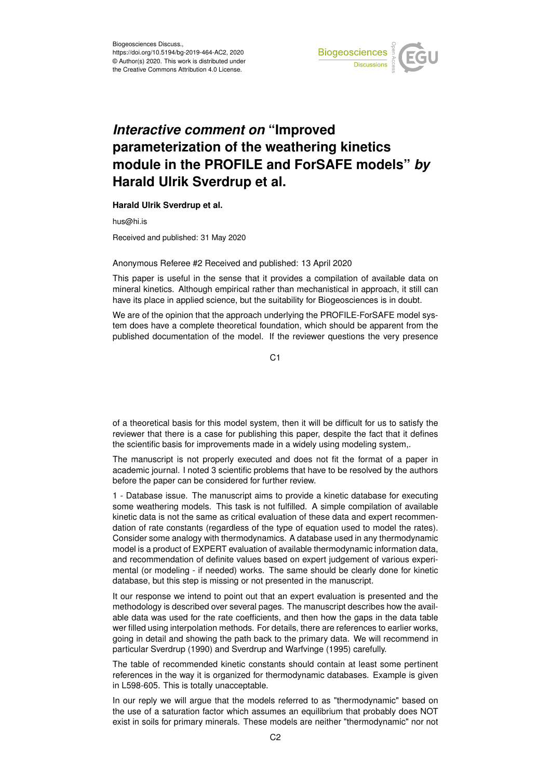

## *Interactive comment on* **"Improved parameterization of the weathering kinetics module in the PROFILE and ForSAFE models"** *by* **Harald Ulrik Sverdrup et al.**

**Harald Ulrik Sverdrup et al.**

hus@hi.is

Received and published: 31 May 2020

## Anonymous Referee #2 Received and published: 13 April 2020

This paper is useful in the sense that it provides a compilation of available data on mineral kinetics. Although empirical rather than mechanistical in approach, it still can have its place in applied science, but the suitability for Biogeosciences is in doubt.

We are of the opinion that the approach underlying the PROFILE-ForSAFE model system does have a complete theoretical foundation, which should be apparent from the published documentation of the model. If the reviewer questions the very presence

C1

of a theoretical basis for this model system, then it will be difficult for us to satisfy the reviewer that there is a case for publishing this paper, despite the fact that it defines the scientific basis for improvements made in a widely using modeling system,.

The manuscript is not properly executed and does not fit the format of a paper in academic journal. I noted 3 scientific problems that have to be resolved by the authors before the paper can be considered for further review.

1 - Database issue. The manuscript aims to provide a kinetic database for executing some weathering models. This task is not fulfilled. A simple compilation of available kinetic data is not the same as critical evaluation of these data and expert recommendation of rate constants (regardless of the type of equation used to model the rates). Consider some analogy with thermodynamics. A database used in any thermodynamic model is a product of EXPERT evaluation of available thermodynamic information data, and recommendation of definite values based on expert judgement of various experimental (or modeling - if needed) works. The same should be clearly done for kinetic database, but this step is missing or not presented in the manuscript.

It our response we intend to point out that an expert evaluation is presented and the methodology is described over several pages. The manuscript describes how the available data was used for the rate coefficients, and then how the gaps in the data table wer filled using interpolation methods. For details, there are references to earlier works, going in detail and showing the path back to the primary data. We will recommend in particular Sverdrup (1990) and Sverdrup and Warfvinge (1995) carefully.

The table of recommended kinetic constants should contain at least some pertinent references in the way it is organized for thermodynamic databases. Example is given in L598-605. This is totally unacceptable.

In our reply we will argue that the models referred to as "thermodynamic" based on the use of a saturation factor which assumes an equilibrium that probably does NOT exist in soils for primary minerals. These models are neither "thermodynamic" nor not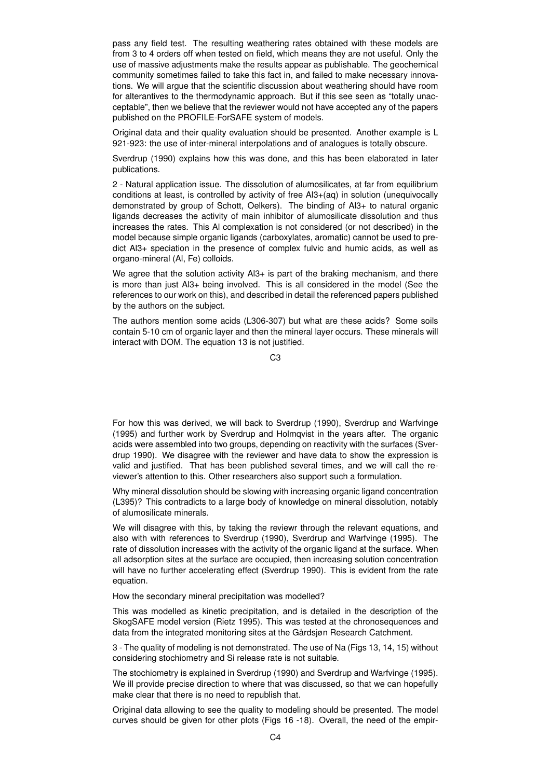pass any field test. The resulting weathering rates obtained with these models are from 3 to 4 orders off when tested on field, which means they are not useful. Only the use of massive adjustments make the results appear as publishable. The geochemical community sometimes failed to take this fact in, and failed to make necessary innovations. We will argue that the scientific discussion about weathering should have room for alterantives to the thermodynamic approach. But if this see seen as "totally unacceptable", then we believe that the reviewer would not have accepted any of the papers published on the PROFILE-ForSAFE system of models.

Original data and their quality evaluation should be presented. Another example is L 921-923: the use of inter-mineral interpolations and of analogues is totally obscure.

Sverdrup (1990) explains how this was done, and this has been elaborated in later publications.

2 - Natural application issue. The dissolution of alumosilicates, at far from equilibrium conditions at least, is controlled by activity of free Al3+(aq) in solution (unequivocally demonstrated by group of Schott, Oelkers). The binding of Al3+ to natural organic ligands decreases the activity of main inhibitor of alumosilicate dissolution and thus increases the rates. This Al complexation is not considered (or not described) in the model because simple organic ligands (carboxylates, aromatic) cannot be used to predict Al3+ speciation in the presence of complex fulvic and humic acids, as well as organo-mineral (Al, Fe) colloids.

We agree that the solution activity Al3+ is part of the braking mechanism, and there is more than just Al3+ being involved. This is all considered in the model (See the references to our work on this), and described in detail the referenced papers published by the authors on the subject.

The authors mention some acids (L306-307) but what are these acids? Some soils contain 5-10 cm of organic layer and then the mineral layer occurs. These minerals will interact with DOM. The equation 13 is not justified.

C3

For how this was derived, we will back to Sverdrup (1990), Sverdrup and Warfvinge (1995) and further work by Sverdrup and Holmqvist in the years after. The organic acids were assembled into two groups, depending on reactivity with the surfaces (Sverdrup 1990). We disagree with the reviewer and have data to show the expression is valid and justified. That has been published several times, and we will call the reviewer's attention to this. Other researchers also support such a formulation.

Why mineral dissolution should be slowing with increasing organic ligand concentration (L395)? This contradicts to a large body of knowledge on mineral dissolution, notably of alumosilicate minerals.

We will disagree with this, by taking the reviewr through the relevant equations, and also with with references to Sverdrup (1990), Sverdrup and Warfvinge (1995). The rate of dissolution increases with the activity of the organic ligand at the surface. When all adsorption sites at the surface are occupied, then increasing solution concentration will have no further accelerating effect (Sverdrup 1990). This is evident from the rate equation.

How the secondary mineral precipitation was modelled?

This was modelled as kinetic precipitation, and is detailed in the description of the SkogSAFE model version (Rietz 1995). This was tested at the chronosequences and data from the integrated monitoring sites at the Gårdsjøn Research Catchment.

3 - The quality of modeling is not demonstrated. The use of Na (Figs 13, 14, 15) without considering stochiometry and Si release rate is not suitable.

The stochiometry is explained in Sverdrup (1990) and Sverdrup and Warfvinge (1995). We ill provide precise direction to where that was discussed, so that we can hopefully make clear that there is no need to republish that.

Original data allowing to see the quality to modeling should be presented. The model curves should be given for other plots (Figs 16 -18). Overall, the need of the empir